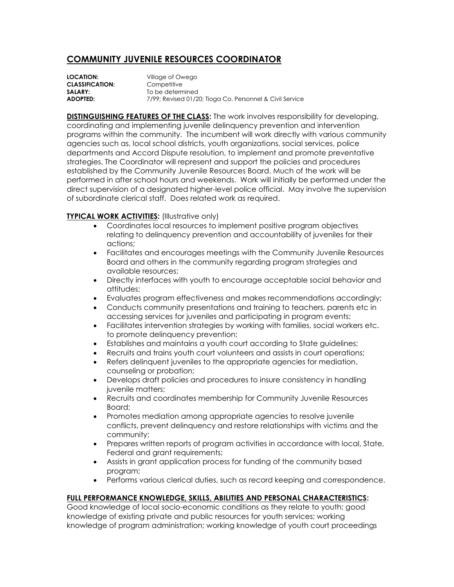## **COMMUNITY JUVENILE RESOURCES COORDINATOR**

| <b>LOCATION:</b>       | Village of Owego                                         |
|------------------------|----------------------------------------------------------|
| <b>CLASSIFICATION:</b> | Competitive                                              |
| <b>SALARY:</b>         | To be determined                                         |
| <b>ADOPTED:</b>        | 7/99; Revised 01/20; Tioga Co. Personnel & Civil Service |

**DISTINGUISHING FEATURES OF THE CLASS:** The work involves responsibility for developing, coordinating and implementing juvenile delinquency prevention and intervention programs within the community. The incumbent will work directly with various community agencies such as, local school districts, youth organizations, social services, police departments and Accord Dispute resolution, to implement and promote preventative strategies. The Coordinator will represent and support the policies and procedures established by the Community Juvenile Resources Board. Much of the work will be performed in after school hours and weekends. Work will initially be performed under the direct supervision of a designated higher-level police official. May involve the supervision of subordinate clerical staff. Does related work as required.

## **TYPICAL WORK ACTIVITIES:** (Illustrative only)

- Coordinates local resources to implement positive program objectives relating to delinquency prevention and accountability of juveniles for their actions;
- Facilitates and encourages meetings with the Community Juvenile Resources Board and others in the community regarding program strategies and available resources;
- Directly interfaces with youth to encourage acceptable social behavior and attitudes;
- Evaluates program effectiveness and makes recommendations accordingly;
- Conducts community presentations and training to teachers, parents etc in accessing services for juveniles and participating in program events;
- Facilitates intervention strategies by working with families, social workers etc. to promote delinquency prevention;
- Establishes and maintains a youth court according to State guidelines;
- Recruits and trains youth court volunteers and assists in court operations;
- Refers delinquent juveniles to the appropriate agencies for mediation, counseling or probation;
- Develops draft policies and procedures to insure consistency in handling juvenile matters;
- Recruits and coordinates membership for Community Juvenile Resources Board;
- Promotes mediation among appropriate agencies to resolve juvenile conflicts, prevent delinquency and restore relationships with victims and the community;
- Prepares written reports of program activities in accordance with local, State, Federal and grant requirements;
- Assists in grant application process for funding of the community based program;
- Performs various clerical duties, such as record keeping and correspondence.

## **FULL PERFORMANCE KNOWLEDGE, SKILLS, ABILITIES AND PERSONAL CHARACTERISTICS:**

Good knowledge of local socio-economic conditions as they relate to youth; good knowledge of existing private and public resources for youth services; working knowledge of program administration; working knowledge of youth court proceedings